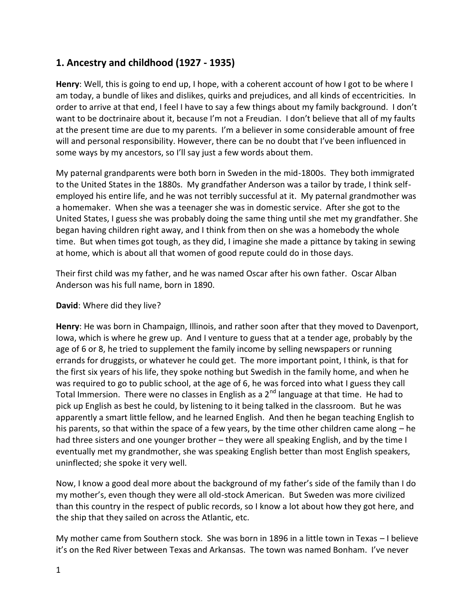# **1. Ancestry and childhood (1927 - 1935)**

**Henry**: Well, this is going to end up, I hope, with a coherent account of how I got to be where I am today, a bundle of likes and dislikes, quirks and prejudices, and all kinds of eccentricities. In order to arrive at that end, I feel I have to say a few things about my family background. I don't want to be doctrinaire about it, because I'm not a Freudian. I don't believe that all of my faults at the present time are due to my parents. I'm a believer in some considerable amount of free will and personal responsibility. However, there can be no doubt that I've been influenced in some ways by my ancestors, so I'll say just a few words about them.

My paternal grandparents were both born in Sweden in the mid-1800s. They both immigrated to the United States in the 1880s. My grandfather Anderson was a tailor by trade, I think self employed his entire life, and he was not terribly successful at it. My paternal grandmother was a homemaker. When she was a teenager she was in domestic service. After she got to the United States, I guess she was probably doing the same thing until she met my grandfather. She began having children right away, and I think from then on she was a homebody the whole time. But when times got tough, as they did, I imagine she made a pittance by taking in sewing at home, which is about all that women of good repute could do in those days.

Their first child was my father, and he was named Oscar after his own father. Oscar Alban Anderson was his full name, born in 1890.

#### **David**: Where did they live?

**Henry**: He was born in Champaign, Illinois, and rather soon after that they moved to Davenport, Iowa, which is where he grew up. And I venture to guess that at a tender age, probably by the age of 6 or 8, he tried to supplement the family income by selling newspapers or running errands for druggists, or whatever he could get. The more important point, I think, is that for the first six years of his life, they spoke nothing but Swedish in the family home, and when he was required to go to public school, at the age of 6, he was forced into what I guess they call Total Immersion. There were no classes in English as a  $2<sup>nd</sup>$  language at that time. He had to pick up English as best he could, by listening to it being talked in the classroom. But he was apparently a smart little fellow, and he learned English. And then he began teaching English to his parents, so that within the space of a few years, by the time other children came along – he had three sisters and one younger brother – they were all speaking English, and by the time I eventually met my grandmother, she was speaking English better than most English speakers, uninflected; she spoke it very well.

Now, I know a good deal more about the background of my father's side of the family than I do my mother's, even though they were all old-stock American. But Sweden was more civilized than this country in the respect of public records, so I know a lot about how they got here, and the ship that they sailed on across the Atlantic, etc.

My mother came from Southern stock. She was born in 1896 in a little town in Texas – I believe it's on the Red River between Texas and Arkansas. The town was named Bonham. I've never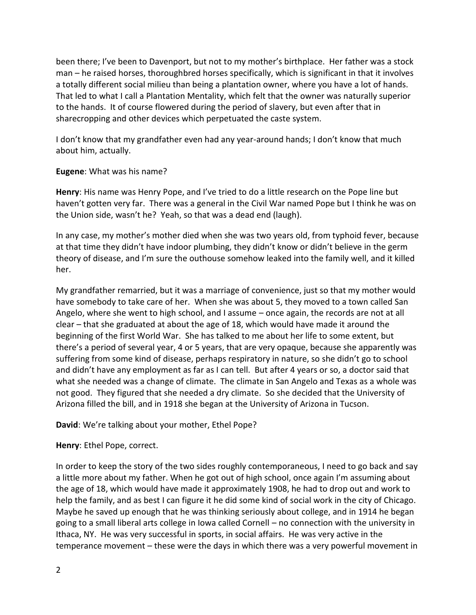been there; I've been to Davenport, but not to my mother's birthplace. Her father was a stock man – he raised horses, thoroughbred horses specifically, which is significant in that it involves a totally different social milieu than being a plantation owner, where you have a lot of hands. That led to what I call a Plantation Mentality, which felt that the owner was naturally superior to the hands. It of course flowered during the period of slavery, but even after that in sharecropping and other devices which perpetuated the caste system.

I don't know that my grandfather even had any year-around hands; I don't know that much about him, actually.

#### **Eugene**: What was his name?

**Henry**: His name was Henry Pope, and I've tried to do a little research on the Pope line but haven't gotten very far. There was a general in the Civil War named Pope but I think he was on the Union side, wasn't he? Yeah, so that was a dead end (laugh).

In any case, my mother's mother died when she was two years old, from typhoid fever, because at that time they didn't have indoor plumbing, they didn't know or didn't believe in the germ theory of disease, and I'm sure the outhouse somehow leaked into the family well, and it killed her.

My grandfather remarried, but it was a marriage of convenience, just so that my mother would have somebody to take care of her. When she was about 5, they moved to a town called San Angelo, where she went to high school, and I assume – once again, the records are not at all clear – that she graduated at about the age of 18, which would have made it around the beginning of the first World War. She has talked to me about her life to some extent, but there's a period of several year, 4 or 5 years, that are very opaque, because she apparently was suffering from some kind of disease, perhaps respiratory in nature, so she didn't go to school and didn't have any employment as far as I can tell. But after 4 years or so, a doctor said that what she needed was a change of climate. The climate in San Angelo and Texas as a whole was not good. They figured that she needed a dry climate. So she decided that the University of Arizona filled the bill, and in 1918 she began at the University of Arizona in Tucson.

## **David**: We're talking about your mother, Ethel Pope?

## **Henry**: Ethel Pope, correct.

In order to keep the story of the two sides roughly contemporaneous, I need to go back and say a little more about my father. When he got out of high school, once again I'm assuming about the age of 18, which would have made it approximately 1908, he had to drop out and work to help the family, and as best I can figure it he did some kind of social work in the city of Chicago. Maybe he saved up enough that he was thinking seriously about college, and in 1914 he began going to a small liberal arts college in Iowa called Cornell – no connection with the university in Ithaca, NY. He was very successful in sports, in social affairs. He was very active in the temperance movement – these were the days in which there was a very powerful movement in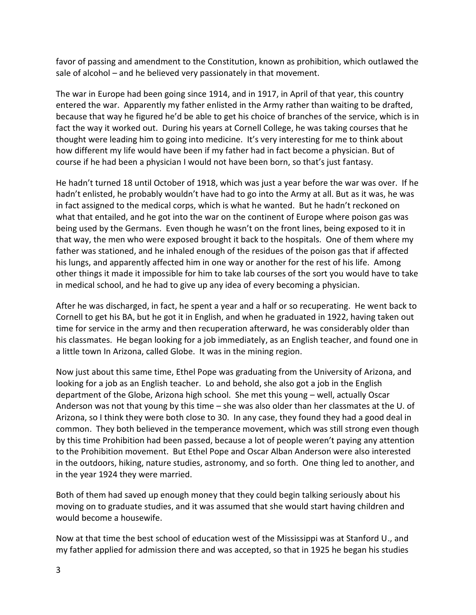favor of passing and amendment to the Constitution, known as prohibition, which outlawed the sale of alcohol – and he believed very passionately in that movement.

The war in Europe had been going since 1914, and in 1917, in April of that year, this country entered the war. Apparently my father enlisted in the Army rather than waiting to be drafted, because that way he figured he'd be able to get his choice of branches of the service, which is in fact the way it worked out. During his years at Cornell College, he was taking courses that he thought were leading him to going into medicine. It's very interesting for me to think about how different my life would have been if my father had in fact become a physician. But of course if he had been a physician I would not have been born, so that's just fantasy.

He hadn't turned 18 until October of 1918, which was just a year before the war was over. If he hadn't enlisted, he probably wouldn't have had to go into the Army at all. But as it was, he was in fact assigned to the medical corps, which is what he wanted. But he hadn't reckoned on what that entailed, and he got into the war on the continent of Europe where poison gas was being used by the Germans. Even though he wasn't on the front lines, being exposed to it in that way, the men who were exposed brought it back to the hospitals. One of them where my father was stationed, and he inhaled enough of the residues of the poison gas that if affected his lungs, and apparently affected him in one way or another for the rest of his life. Among other things it made it impossible for him to take lab courses of the sort you would have to take in medical school, and he had to give up any idea of every becoming a physician.

After he was discharged, in fact, he spent a year and a half or so recuperating. He went back to Cornell to get his BA, but he got it in English, and when he graduated in 1922, having taken out time for service in the army and then recuperation afterward, he was considerably older than his classmates. He began looking for a job immediately, as an English teacher, and found one in a little town In Arizona, called Globe. It was in the mining region.

Now just about this same time, Ethel Pope was graduating from the University of Arizona, and looking for a job as an English teacher. Lo and behold, she also got a job in the English department of the Globe, Arizona high school. She met this young – well, actually Oscar Anderson was not that young by this time – she was also older than her classmates at the U. of Arizona, so I think they were both close to 30. In any case, they found they had a good deal in common. They both believed in the temperance movement, which was still strong even though by this time Prohibition had been passed, because a lot of people weren't paying any attention to the Prohibition movement. But Ethel Pope and Oscar Alban Anderson were also interested in the outdoors, hiking, nature studies, astronomy, and so forth. One thing led to another, and in the year 1924 they were married.

Both of them had saved up enough money that they could begin talking seriously about his moving on to graduate studies, and it was assumed that she would start having children and would become a housewife.

Now at that time the best school of education west of the Mississippi was at Stanford U., and my father applied for admission there and was accepted, so that in 1925 he began his studies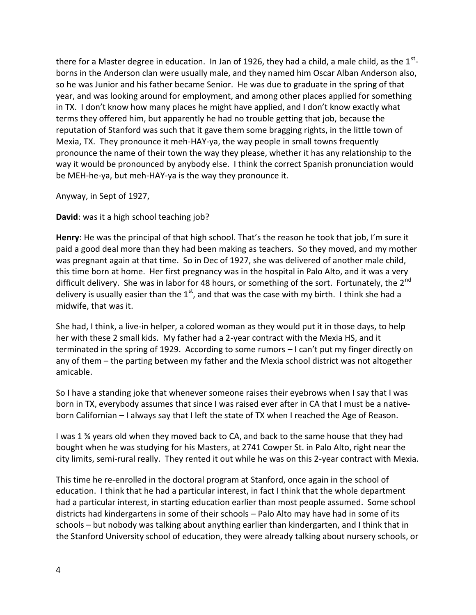there for a Master degree in education. In Jan of 1926, they had a child, a male child, as the  $1^{st}$ borns in the Anderson clan were usually male, and they named him Oscar Alban Anderson also, so he was Junior and his father became Senior. He was due to graduate in the spring of that year, and was looking around for employment, and among other places applied for something in TX. I don't know how many places he might have applied, and I don't know exactly what terms they offered him, but apparently he had no trouble getting that job, because the reputation of Stanford was such that it gave them some bragging rights, in the little town of Mexia, TX. They pronounce it meh-HAY-ya, the way people in small towns frequently pronounce the name of their town the way they please, whether it has any relationship to the way it would be pronounced by anybody else. I think the correct Spanish pronunciation would be MEH-he-ya, but meh-HAY-ya is the way they pronounce it.

Anyway, in Sept of 1927,

**David**: was it a high school teaching job?

**Henry**: He was the principal of that high school. That's the reason he took that job, I'm sure it paid a good deal more than they had been making as teachers. So they moved, and my mother was pregnant again at that time. So in Dec of 1927, she was delivered of another male child, this time born at home. Her first pregnancy was in the hospital in Palo Alto, and it was a very difficult delivery. She was in labor for 48 hours, or something of the sort. Fortunately, the 2<sup>nd</sup> delivery is usually easier than the  $1<sup>st</sup>$ , and that was the case with my birth. I think she had a midwife, that was it.

She had, I think, a live-in helper, a colored woman as they would put it in those days, to help her with these 2 small kids. My father had a 2-year contract with the Mexia HS, and it terminated in the spring of 1929. According to some rumors – I can't put my finger directly on any of them – the parting between my father and the Mexia school district was not altogether amicable.

So I have a standing joke that whenever someone raises their eyebrows when I say that I was born in TX, everybody assumes that since I was raised ever after in CA that I must be a native born Californian – I always say that I left the state of TX when I reached the Age of Reason.

I was 1 ¾ years old when they moved back to CA, and back to the same house that they had bought when he was studying for his Masters, at 2741 Cowper St. in Palo Alto, right near the city limits, semi-rural really. They rented it out while he was on this 2-year contract with Mexia.

This time he re-enrolled in the doctoral program at Stanford, once again in the school of education. I think that he had a particular interest, in fact I think that the whole department had a particular interest, in starting education earlier than most people assumed. Some school districts had kindergartens in some of their schools – Palo Alto may have had in some of its schools – but nobody was talking about anything earlier than kindergarten, and I think that in the Stanford University school of education, they were already talking about nursery schools, or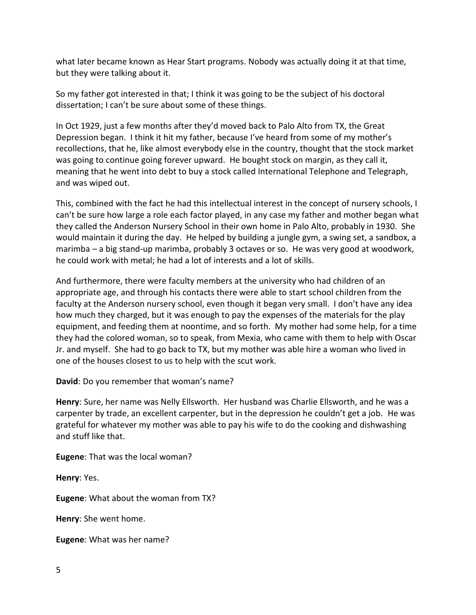what later became known as Hear Start programs. Nobody was actually doing it at that time, but they were talking about it.

So my father got interested in that; I think it was going to be the subject of his doctoral dissertation; I can't be sure about some of these things.

In Oct 1929, just a few months after they'd moved back to Palo Alto from TX, the Great Depression began. I think it hit my father, because I've heard from some of my mother's recollections, that he, like almost everybody else in the country, thought that the stock market was going to continue going forever upward. He bought stock on margin, as they call it, meaning that he went into debt to buy a stock called International Telephone and Telegraph, and was wiped out.

This, combined with the fact he had this intellectual interest in the concept of nursery schools, I can't be sure how large a role each factor played, in any case my father and mother began what they called the Anderson Nursery School in their own home in Palo Alto, probably in 1930. She would maintain it during the day. He helped by building a jungle gym, a swing set, a sandbox, a marimba – a big stand-up marimba, probably 3 octaves or so. He was very good at woodwork, he could work with metal; he had a lot of interests and a lot of skills.

And furthermore, there were faculty members at the university who had children of an appropriate age, and through his contacts there were able to start school children from the faculty at the Anderson nursery school, even though it began very small. I don't have any idea how much they charged, but it was enough to pay the expenses of the materials for the play equipment, and feeding them at noontime, and so forth. My mother had some help, for a time they had the colored woman, so to speak, from Mexia, who came with them to help with Oscar Jr. and myself. She had to go back to TX, but my mother was able hire a woman who lived in one of the houses closest to us to help with the scut work.

**David**: Do you remember that woman's name?

**Henry**: Sure, her name was Nelly Ellsworth. Her husband was Charlie Ellsworth, and he was a carpenter by trade, an excellent carpenter, but in the depression he couldn't get a job. He was grateful for whatever my mother was able to pay his wife to do the cooking and dishwashing and stuff like that.

**Eugene**: That was the local woman?

**Henry**: Yes.

**Eugene**: What about the woman from TX?

**Henry**: She went home.

**Eugene**: What was her name?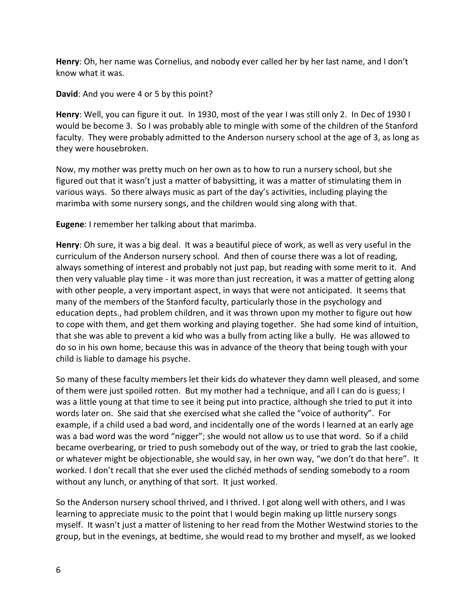**Henry**: Oh, her name was Cornelius, and nobody ever called her by her last name, and I don't know what it was.

**David**: And you were 4 or 5 by this point?

**Henry**: Well, you can figure it out. In 1930, most of the year I was still only 2. In Dec of 1930 I would be become 3. So I was probably able to mingle with some of the children of the Stanford faculty. They were probably admitted to the Anderson nursery school at the age of 3, as long as they were housebroken.

Now, my mother was pretty much on her own as to how to run a nursery school, but she figured out that it wasn't just a matter of babysitting, it was a matter of stimulating them in various ways. So there always music as part of the day's activities, including playing the marimba with some nursery songs, and the children would sing along with that.

**Eugene**: I remember her talking about that marimba.

**Henry**: Oh sure, it was a big deal. It was a beautiful piece of work, as well as very useful in the curriculum of the Anderson nursery school. And then of course there was a lot of reading, always something of interest and probably not just pap, but reading with some merit to it. And then very valuable play time - it was more than just recreation, it was a matter of getting along with other people, a very important aspect, in ways that were not anticipated. It seems that many of the members of the Stanford faculty, particularly those in the psychology and education depts., had problem children, and it was thrown upon my mother to figure out how to cope with them, and get them working and playing together. She had some kind of intuition, that she was able to prevent a kid who was a bully from acting like a bully. He was allowed to do so in his own home, because this was in advance of the theory that being tough with your child is liable to damage his psyche.

So many of these faculty members let their kids do whatever they damn well pleased, and some of them were just spoiled rotten. But my mother had a technique, and all I can do is guess; I was a little young at that time to see it being put into practice, although she tried to put it into words later on. She said that she exercised what she called the "voice of authority". For example, if a child used a bad word, and incidentally one of the words I learned at an early age was a bad word was the word "nigger"; she would not allow us to use that word. So if a child became overbearing, or tried to push somebody out of the way, or tried to grab the last cookie, or whatever might be objectionable, she would say, in her own way, "we don't do that here". It worked. I don't recall that she ever used the clichéd methods of sending somebody to a room without any lunch, or anything of that sort. It just worked.

So the Anderson nursery school thrived, and I thrived. I got along well with others, and I was learning to appreciate music to the point that I would begin making up little nursery songs myself. It wasn't just a matter of listening to her read from the Mother Westwind stories to the group, but in the evenings, at bedtime, she would read to my brother and myself, as we looked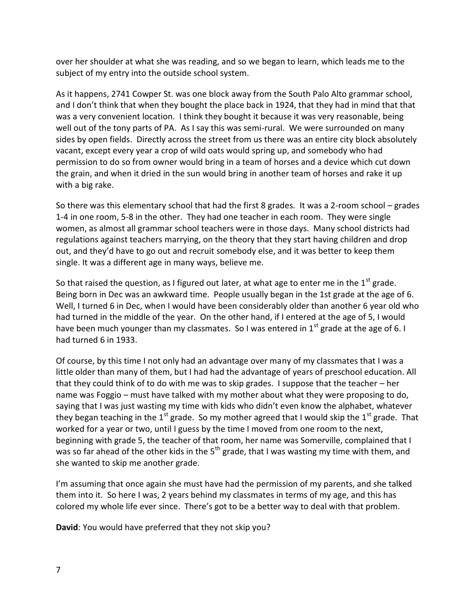over her shoulder at what she was reading, and so we began to learn, which leads me to the subject of my entry into the outside school system.

As it happens, 2741 Cowper St. was one block away from the South Palo Alto grammar school, and I don't think that when they bought the place back in 1924, that they had in mind that that was a very convenient location. I think they bought it because it was very reasonable, being well out of the tony parts of PA. As I say this was semi-rural. We were surrounded on many sides by open fields. Directly across the street from us there was an entire city block absolutely vacant, except every year a crop of wild oats would spring up, and somebody who had permission to do so from owner would bring in a team of horses and a device which cut down the grain, and when it dried in the sun would bring in another team of horses and rake it up with a big rake.

So there was this elementary school that had the first 8 grades. It was a 2-room school – grades 1-4 in one room, 5-8 in the other. They had one teacher in each room. They were single women, as almost all grammar school teachers were in those days. Many school districts had regulations against teachers marrying, on the theory that they start having children and drop out, and they'd have to go out and recruit somebody else, and it was better to keep them single. It was a different age in many ways, believe me.

So that raised the question, as I figured out later, at what age to enter me in the  $1<sup>st</sup>$  grade. Being born in Dec was an awkward time. People usually began in the 1st grade at the age of 6. Well, I turned 6 in Dec, when I would have been considerably older than another 6 year old who had turned in the middle of the year. On the other hand, if I entered at the age of 5, I would have been much younger than my classmates. So I was entered in  $1<sup>st</sup>$  grade at the age of 6. I had turned 6 in 1933.

Of course, by this time I not only had an advantage over many of my classmates that I was a little older than many of them, but I had had the advantage of years of preschool education. All that they could think of to do with me was to skip grades. I suppose that the teacher – her name was Foggio – must have talked with my mother about what they were proposing to do, saying that I was just wasting my time with kids who didn't even know the alphabet, whatever they began teaching in the 1<sup>st</sup> grade. So my mother agreed that I would skip the 1<sup>st</sup> grade. That worked for a year or two, until I guess by the time I moved from one room to the next, beginning with grade 5, the teacher of that room, her name was Somerville, complained that I was so far ahead of the other kids in the  $5<sup>th</sup>$  grade, that I was wasting my time with them, and she wanted to skip me another grade.

I'm assuming that once again she must have had the permission of my parents, and she talked them into it. So here I was, 2 years behind my classmates in terms of my age, and this has colored my whole life ever since. There's got to be a better way to deal with that problem.

**David**: You would have preferred that they not skip you?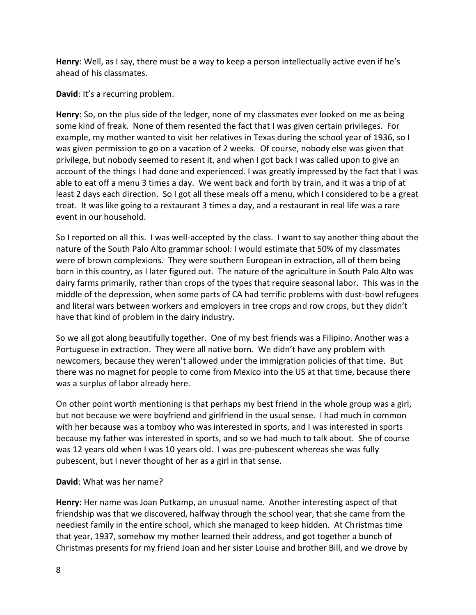**Henry**: Well, as I say, there must be a way to keep a person intellectually active even if he's ahead of his classmates.

**David**: It's a recurring problem.

**Henry**: So, on the plus side of the ledger, none of my classmates ever looked on me as being some kind of freak. None of them resented the fact that I was given certain privileges. For example, my mother wanted to visit her relatives in Texas during the school year of 1936, so I was given permission to go on a vacation of 2 weeks. Of course, nobody else was given that privilege, but nobody seemed to resent it, and when I got back I was called upon to give an account of the things I had done and experienced. I was greatly impressed by the fact that I was able to eat off a menu 3 times a day. We went back and forth by train, and it was a trip of at least 2 days each direction. So I got all these meals off a menu, which I considered to be a great treat. It was like going to a restaurant 3 times a day, and a restaurant in real life was a rare event in our household.

So I reported on all this. I was well-accepted by the class. I want to say another thing about the nature of the South Palo Alto grammar school: I would estimate that 50% of my classmates were of brown complexions. They were southern European in extraction, all of them being born in this country, as I later figured out. The nature of the agriculture in South Palo Alto was dairy farms primarily, rather than crops of the types that require seasonal labor. This was in the middle of the depression, when some parts of CA had terrific problems with dust-bowl refugees and literal wars between workers and employers in tree crops and row crops, but they didn't have that kind of problem in the dairy industry.

So we all got along beautifully together. One of my best friends was a Filipino. Another was a Portuguese in extraction. They were all native born. We didn't have any problem with newcomers, because they weren't allowed under the immigration policies of that time. But there was no magnet for people to come from Mexico into the US at that time, because there was a surplus of labor already here.

On other point worth mentioning is that perhaps my best friend in the whole group was a girl, but not because we were boyfriend and girlfriend in the usual sense. I had much in common with her because was a tomboy who was interested in sports, and I was interested in sports because my father was interested in sports, and so we had much to talk about. She of course was 12 years old when I was 10 years old. I was pre-pubescent whereas she was fully pubescent, but I never thought of her as a girl in that sense.

#### **David**: What was her name?

**Henry**: Her name was Joan Putkamp, an unusual name. Another interesting aspect of that friendship was that we discovered, halfway through the school year, that she came from the neediest family in the entire school, which she managed to keep hidden. At Christmas time that year, 1937, somehow my mother learned their address, and got together a bunch of Christmas presents for my friend Joan and her sister Louise and brother Bill, and we drove by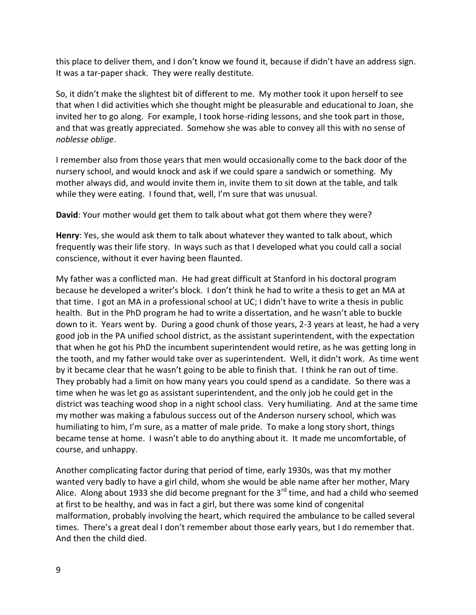this place to deliver them, and I don't know we found it, because if didn't have an address sign. It was a tar-paper shack. They were really destitute.

So, it didn't make the slightest bit of different to me. My mother took it upon herself to see that when I did activities which she thought might be pleasurable and educational to Joan, she invited her to go along. For example, I took horse-riding lessons, and she took part in those, and that was greatly appreciated. Somehow she was able to convey all this with no sense of *noblesse oblige*.

I remember also from those years that men would occasionally come to the back door of the nursery school, and would knock and ask if we could spare a sandwich or something. My mother always did, and would invite them in, invite them to sit down at the table, and talk while they were eating. I found that, well, I'm sure that was unusual.

**David**: Your mother would get them to talk about what got them where they were?

**Henry**: Yes, she would ask them to talk about whatever they wanted to talk about, which frequently was their life story. In ways such as that I developed what you could call a social conscience, without it ever having been flaunted.

My father was a conflicted man. He had great difficult at Stanford in his doctoral program because he developed a writer's block. I don't think he had to write a thesis to get an MA at that time. I got an MA in a professional school at UC; I didn't have to write a thesis in public health. But in the PhD program he had to write a dissertation, and he wasn't able to buckle down to it. Years went by. During a good chunk of those years, 2-3 years at least, he had a very good job in the PA unified school district, as the assistant superintendent, with the expectation that when he got his PhD the incumbent superintendent would retire, as he was getting long in the tooth, and my father would take over as superintendent. Well, it didn't work. As time went by it became clear that he wasn't going to be able to finish that. I think he ran out of time. They probably had a limit on how many years you could spend as a candidate. So there was a time when he was let go as assistant superintendent, and the only job he could get in the district was teaching wood shop in a night school class. Very humiliating. And at the same time my mother was making a fabulous success out of the Anderson nursery school, which was humiliating to him, I'm sure, as a matter of male pride. To make a long story short, things became tense at home. I wasn't able to do anything about it. It made me uncomfortable, of course, and unhappy.

Another complicating factor during that period of time, early 1930s, was that my mother wanted very badly to have a girl child, whom she would be able name after her mother, Mary Alice. Along about 1933 she did become pregnant for the  $3<sup>rd</sup>$  time, and had a child who seemed at first to be healthy, and was in fact a girl, but there was some kind of congenital malformation, probably involving the heart, which required the ambulance to be called several times. There's a great deal I don't remember about those early years, but I do remember that. And then the child died.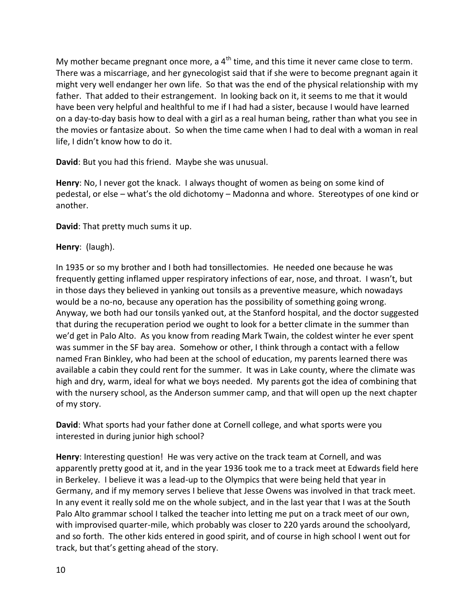My mother became pregnant once more, a  $4<sup>th</sup>$  time, and this time it never came close to term. There was a miscarriage, and her gynecologist said that if she were to become pregnant again it might very well endanger her own life. So that was the end of the physical relationship with my father. That added to their estrangement. In looking back on it, it seems to me that it would have been very helpful and healthful to me if I had had a sister, because I would have learned on a day-to-day basis how to deal with a girl as a real human being, rather than what you see in the movies or fantasize about. So when the time came when I had to deal with a woman in real life, I didn't know how to do it.

**David**: But you had this friend. Maybe she was unusual.

**Henry**: No, I never got the knack. I always thought of women as being on some kind of pedestal, or else – what's the old dichotomy – Madonna and whore. Stereotypes of one kind or another.

**David**: That pretty much sums it up.

## **Henry**: (laugh).

In 1935 or so my brother and I both had tonsillectomies. He needed one because he was frequently getting inflamed upper respiratory infections of ear, nose, and throat. I wasn't, but in those days they believed in yanking out tonsils as a preventive measure, which nowadays would be a no-no, because any operation has the possibility of something going wrong. Anyway, we both had our tonsils yanked out, at the Stanford hospital, and the doctor suggested that during the recuperation period we ought to look for a better climate in the summer than we'd get in Palo Alto. As you know from reading Mark Twain, the coldest winter he ever spent was summer in the SF bay area. Somehow or other, I think through a contact with a fellow named Fran Binkley, who had been at the school of education, my parents learned there was available a cabin they could rent for the summer. It was in Lake county, where the climate was high and dry, warm, ideal for what we boys needed. My parents got the idea of combining that with the nursery school, as the Anderson summer camp, and that will open up the next chapter of my story.

**David**: What sports had your father done at Cornell college, and what sports were you interested in during junior high school?

**Henry**: Interesting question! He was very active on the track team at Cornell, and was apparently pretty good at it, and in the year 1936 took me to a track meet at Edwards field here in Berkeley. I believe it was a lead-up to the Olympics that were being held that year in Germany, and if my memory serves I believe that Jesse Owens was involved in that track meet. In any event it really sold me on the whole subject, and in the last year that I was at the South Palo Alto grammar school I talked the teacher into letting me put on a track meet of our own, with improvised quarter-mile, which probably was closer to 220 yards around the schoolyard, and so forth. The other kids entered in good spirit, and of course in high school I went out for track, but that's getting ahead of the story.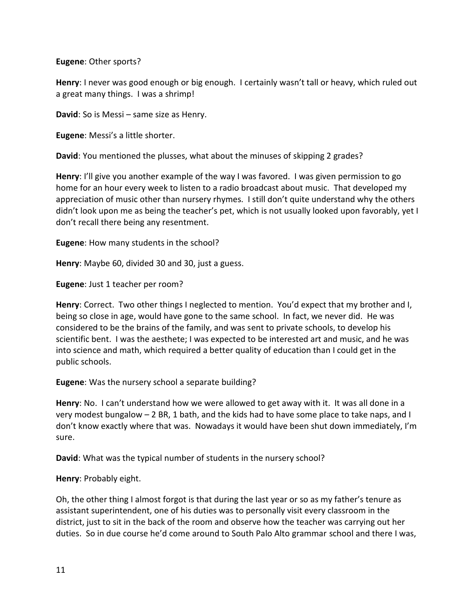**Eugene**: Other sports?

**Henry**: I never was good enough or big enough. I certainly wasn't tall or heavy, which ruled out a great many things. I was a shrimp!

**David**: So is Messi – same size as Henry.

**Eugene**: Messi's a little shorter.

**David**: You mentioned the plusses, what about the minuses of skipping 2 grades?

**Henry**: I'll give you another example of the way I was favored. I was given permission to go home for an hour every week to listen to a radio broadcast about music. That developed my appreciation of music other than nursery rhymes. I still don't quite understand why the others didn't look upon me as being the teacher's pet, which is not usually looked upon favorably, yet I don't recall there being any resentment.

**Eugene**: How many students in the school?

**Henry**: Maybe 60, divided 30 and 30, just a guess.

**Eugene**: Just 1 teacher per room?

**Henry**: Correct. Two other things I neglected to mention. You'd expect that my brother and I, being so close in age, would have gone to the same school. In fact, we never did. He was considered to be the brains of the family, and was sent to private schools, to develop his scientific bent. I was the aesthete; I was expected to be interested art and music, and he was into science and math, which required a better quality of education than I could get in the public schools.

**Eugene**: Was the nursery school a separate building?

**Henry**: No. I can't understand how we were allowed to get away with it. It was all done in a very modest bungalow – 2 BR, 1 bath, and the kids had to have some place to take naps, and I don't know exactly where that was. Nowadays it would have been shut down immediately, I'm sure.

**David**: What was the typical number of students in the nursery school?

**Henry**: Probably eight.

Oh, the other thing I almost forgot is that during the last year or so as my father's tenure as assistant superintendent, one of his duties was to personally visit every classroom in the district, just to sit in the back of the room and observe how the teacher was carrying out her duties. So in due course he'd come around to South Palo Alto grammar school and there I was,